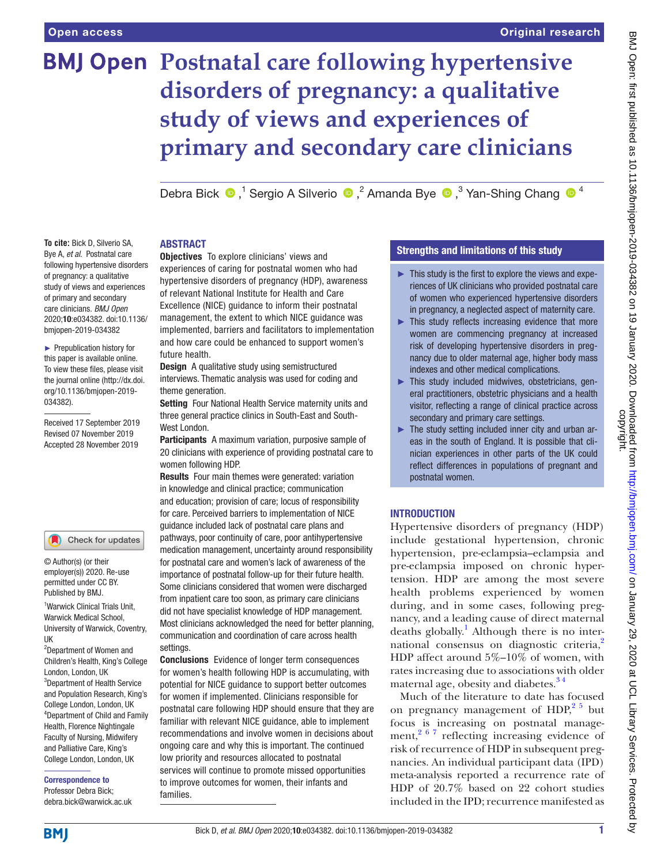# **BMJ Open Postnatal care following hypertensive disorders of pregnancy: a qualitative study of views and experiences of primary and secondary care clinicians**

DebraBick  $\bullet$ ,<sup>1</sup> Sergio A Silverio  $\bullet$ ,<sup>2</sup> Amanda Bye  $\bullet$ ,<sup>3</sup> Yan-Shing Chang  $\bullet$ <sup>4</sup>

#### **ABSTRACT**

**To cite:** Bick D, Silverio SA, Bye A, *et al*. Postnatal care following hypertensive disorders of pregnancy: a qualitative study of views and experiences of primary and secondary care clinicians. *BMJ Open* 2020;10:e034382. doi:10.1136/ bmjopen-2019-034382

► Prepublication history for this paper is available online. To view these files, please visit the journal online (http://dx.doi. org/10.1136/bmjopen-2019- 034382).

Received 17 September 2019 Revised 07 November 2019 Accepted 28 November 2019



## © Author(s) (or their

employer(s)) 2020. Re-use permitted under CC BY. Published by BMJ.

1 Warwick Clinical Trials Unit, Warwick Medical School, University of Warwick, Coventry, UK

<sup>2</sup>Department of Women and Children's Health, King's College London, London, UK 3 Department of Health Service and Population Research, King's College London, London, UK 4 Department of Child and Family Health, Florence Nightingale Faculty of Nursing, Midwifery and Palliative Care, King's College London, London, UK

Correspondence to Professor Debra Bick;

debra.bick@warwick.ac.uk

**Objectives** To explore clinicians' views and experiences of caring for postnatal women who had hypertensive disorders of pregnancy (HDP), awareness of relevant National Institute for Health and Care Excellence (NICE) guidance to inform their postnatal management, the extent to which NICE guidance was implemented, barriers and facilitators to implementation and how care could be enhanced to support women's future health.

Design A qualitative study using semistructured interviews. Thematic analysis was used for coding and theme generation.

Setting Four National Health Service maternity units and three general practice clinics in South-East and South-West London.

Participants A maximum variation, purposive sample of 20 clinicians with experience of providing postnatal care to women following HDP.

Results Four main themes were generated: variation in knowledge and clinical practice; communication and education; provision of care; locus of responsibility for care. Perceived barriers to implementation of NICE guidance included lack of postnatal care plans and pathways, poor continuity of care, poor antihypertensive medication management, uncertainty around responsibility for postnatal care and women's lack of awareness of the importance of postnatal follow-up for their future health. Some clinicians considered that women were discharged from inpatient care too soon, as primary care clinicians did not have specialist knowledge of HDP management. Most clinicians acknowledged the need for better planning, communication and coordination of care across health settings.

Conclusions Evidence of longer term consequences for women's health following HDP is accumulating, with potential for NICE guidance to support better outcomes for women if implemented. Clinicians responsible for postnatal care following HDP should ensure that they are familiar with relevant NICE guidance, able to implement recommendations and involve women in decisions about ongoing care and why this is important. The continued low priority and resources allocated to postnatal services will continue to promote missed opportunities to improve outcomes for women, their infants and families.

## Strengths and limitations of this study

- $\blacktriangleright$  This study is the first to explore the views and experiences of UK clinicians who provided postnatal care of women who experienced hypertensive disorders in pregnancy, a neglected aspect of maternity care.
- ► This study reflects increasing evidence that more women are commencing pregnancy at increased risk of developing hypertensive disorders in pregnancy due to older maternal age, higher body mass indexes and other medical complications.
- ► This study included midwives, obstetricians, general practitioners, obstetric physicians and a health visitor, reflecting a range of clinical practice across secondary and primary care settings.
- ► The study setting included inner city and urban areas in the south of England. It is possible that clinician experiences in other parts of the UK could reflect differences in populations of pregnant and postnatal women.

## **INTRODUCTION**

Hypertensive disorders of pregnancy (HDP) include gestational hypertension, chronic hypertension, pre-eclampsia–eclampsia and pre-eclampsia imposed on chronic hypertension. HDP are among the most severe health problems experienced by women during, and in some cases, following pregnancy, and a leading cause of direct maternal deaths globally.<sup>[1](#page-8-0)</sup> Although there is no inter-national consensus on diagnostic criteria,<sup>[2](#page-8-1)</sup> HDP affect around 5%–10% of women, with rates increasing due to associations with older maternal age, obesity and diabetes.<sup>34</sup>

Much of the literature to date has focused on pregnancy management of  $HDP<sup>25</sup>$  but focus is increasing on postnatal management,<sup>2 6 7</sup> reflecting increasing evidence of risk of recurrence of HDP in subsequent pregnancies. An individual participant data (IPD) meta-analysis reported a recurrence rate of HDP of 20.7% based on 22 cohort studies included in the IPD; recurrence manifested as

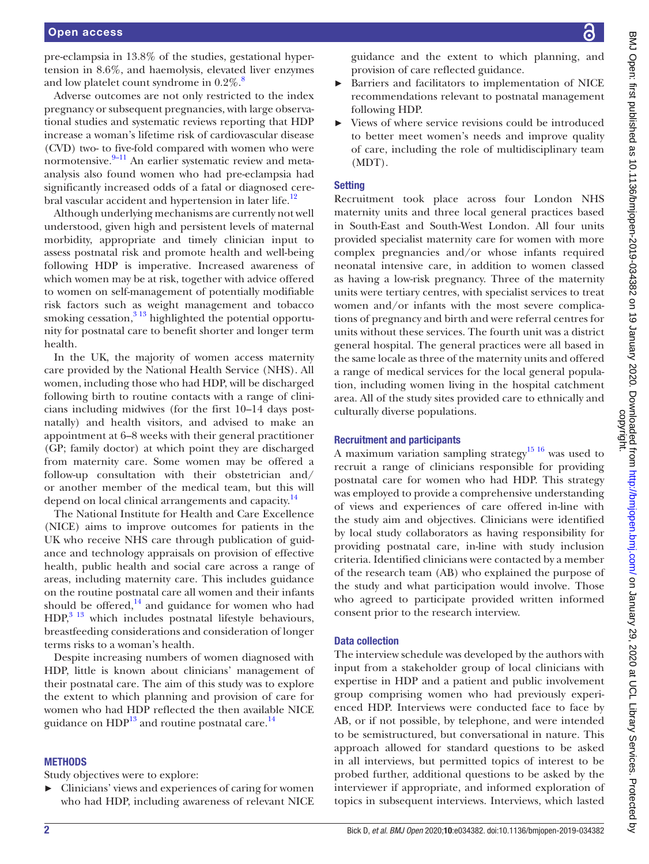pre-eclampsia in 13.8% of the studies, gestational hypertension in 8.6%, and haemolysis, elevated liver enzymes and low platelet count syndrome in  $0.2\%$ .

Adverse outcomes are not only restricted to the index pregnancy or subsequent pregnancies, with large observational studies and systematic reviews reporting that HDP increase a woman's lifetime risk of cardiovascular disease (CVD) two- to five-fold compared with women who were normotensive.<sup>[9–11](#page-8-4)</sup> An earlier systematic review and metaanalysis also found women who had pre-eclampsia had significantly increased odds of a fatal or diagnosed cere-bral vascular accident and hypertension in later life.<sup>[12](#page-8-5)</sup>

Although underlying mechanisms are currently not well understood, given high and persistent levels of maternal morbidity, appropriate and timely clinician input to assess postnatal risk and promote health and well-being following HDP is imperative. Increased awareness of which women may be at risk, together with advice offered to women on self-management of potentially modifiable risk factors such as weight management and tobacco smoking cessation, $3^{13}$  highlighted the potential opportunity for postnatal care to benefit shorter and longer term health.

In the UK, the majority of women access maternity care provided by the National Health Service (NHS). All women, including those who had HDP, will be discharged following birth to routine contacts with a range of clinicians including midwives (for the first 10–14 days postnatally) and health visitors, and advised to make an appointment at 6–8 weeks with their general practitioner (GP; family doctor) at which point they are discharged from maternity care. Some women may be offered a follow-up consultation with their obstetrician and/ or another member of the medical team, but this will depend on local clinical arrangements and capacity.<sup>[14](#page-8-6)</sup>

The National Institute for Health and Care Excellence (NICE) aims to improve outcomes for patients in the UK who receive NHS care through publication of guidance and technology appraisals on provision of effective health, public health and social care across a range of areas, including maternity care. This includes guidance on the routine postnatal care all women and their infants should be offered, $^{14}$  and guidance for women who had  $HDP<sup>3 13</sup>$  which includes postnatal lifestyle behaviours, breastfeeding considerations and consideration of longer terms risks to a woman's health.

Despite increasing numbers of women diagnosed with HDP, little is known about clinicians' management of their postnatal care. The aim of this study was to explore the extent to which planning and provision of care for women who had HDP reflected the then available NICE guidance on  $HDP^{13}$  and routine postnatal care.<sup>[14](#page-8-6)</sup>

#### **METHODS**

Study objectives were to explore:

► Clinicians' views and experiences of caring for women who had HDP, including awareness of relevant NICE

guidance and the extent to which planning, and provision of care reflected guidance.

- Barriers and facilitators to implementation of NICE recommendations relevant to postnatal management following HDP.
- ► Views of where service revisions could be introduced to better meet women's needs and improve quality of care, including the role of multidisciplinary team (MDT).

#### **Setting**

Recruitment took place across four London NHS maternity units and three local general practices based in South-East and South-West London. All four units provided specialist maternity care for women with more complex pregnancies and/or whose infants required neonatal intensive care, in addition to women classed as having a low-risk pregnancy. Three of the maternity units were tertiary centres, with specialist services to treat women and/or infants with the most severe complications of pregnancy and birth and were referral centres for units without these services. The fourth unit was a district general hospital. The general practices were all based in the same locale as three of the maternity units and offered a range of medical services for the local general population, including women living in the hospital catchment area. All of the study sites provided care to ethnically and culturally diverse populations.

#### Recruitment and participants

A maximum variation sampling strategy<sup>15 16</sup> was used to recruit a range of clinicians responsible for providing postnatal care for women who had HDP. This strategy was employed to provide a comprehensive understanding of views and experiences of care offered in-line with the study aim and objectives. Clinicians were identified by local study collaborators as having responsibility for providing postnatal care, in-line with study inclusion criteria. Identified clinicians were contacted by a member of the research team (AB) who explained the purpose of the study and what participation would involve. Those who agreed to participate provided written informed consent prior to the research interview.

#### Data collection

The interview schedule was developed by the authors with input from a stakeholder group of local clinicians with expertise in HDP and a patient and public involvement group comprising women who had previously experienced HDP. Interviews were conducted face to face by AB, or if not possible, by telephone, and were intended to be semistructured, but conversational in nature. This approach allowed for standard questions to be asked in all interviews, but permitted topics of interest to be probed further, additional questions to be asked by the interviewer if appropriate, and informed exploration of topics in subsequent interviews. Interviews, which lasted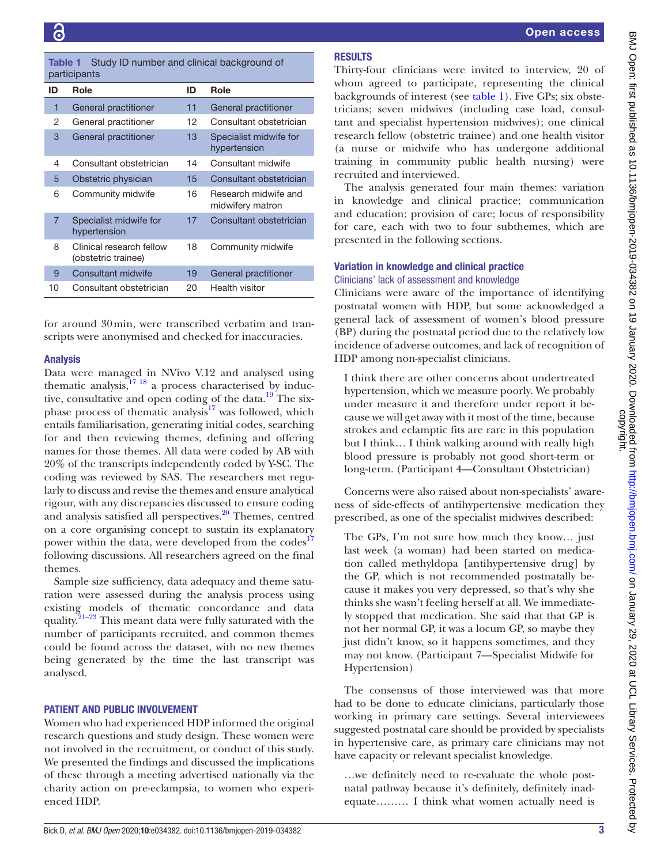<span id="page-2-0"></span>Table 1 Study ID number and clinical background of participants

| participaritio |                                                 |    |                                          |
|----------------|-------------------------------------------------|----|------------------------------------------|
| ID             | Role                                            | ID | Role                                     |
| 1              | General practitioner                            | 11 | General practitioner                     |
| 2              | General practitioner                            | 12 | Consultant obstetrician                  |
| 3              | General practitioner                            | 13 | Specialist midwife for<br>hypertension   |
| 4              | Consultant obstetrician                         | 14 | Consultant midwife                       |
| 5              | Obstetric physician                             | 15 | Consultant obstetrician                  |
| 6              | Community midwife                               | 16 | Research midwife and<br>midwifery matron |
| $\overline{7}$ | Specialist midwife for<br>hypertension          | 17 | Consultant obstetrician                  |
| 8              | Clinical research fellow<br>(obstetric trainee) | 18 | Community midwife                        |
| 9              | Consultant midwife                              | 19 | General practitioner                     |
| 10             | Consultant obstetrician                         | 20 | Health visitor                           |
|                |                                                 |    |                                          |

for around 30min, were transcribed verbatim and transcripts were anonymised and checked for inaccuracies.

## Analysis

Data were managed in NVivo V.12 and analysed using thematic analysis, $17 \frac{18}{18}$  a process characterised by inductive, consultative and open coding of the data. $19$  The sixphase process of thematic analysis<sup>17</sup> was followed, which entails familiarisation, generating initial codes, searching for and then reviewing themes, defining and offering names for those themes. All data were coded by AB with 20% of the transcripts independently coded by Y-SC. The coding was reviewed by SAS. The researchers met regularly to discuss and revise the themes and ensure analytical rigour, with any discrepancies discussed to ensure coding and analysis satisfied all perspectives.<sup>20</sup> Themes, centred on a core organising concept to sustain its explanatory power within the data, were developed from the codes<sup>17</sup> following discussions. All researchers agreed on the final themes.

Sample size sufficiency, data adequacy and theme saturation were assessed during the analysis process using existing models of thematic concordance and data quality.[21–23](#page-8-12) This meant data were fully saturated with the number of participants recruited, and common themes could be found across the dataset, with no new themes being generated by the time the last transcript was analysed.

## Patient and public involvement

Women who had experienced HDP informed the original research questions and study design. These women were not involved in the recruitment, or conduct of this study. We presented the findings and discussed the implications of these through a meeting advertised nationally via the charity action on pre-eclampsia, to women who experienced HDP.

#### Open access

## **RESULTS**

Thirty-four clinicians were invited to interview, 20 of whom agreed to participate, representing the clinical backgrounds of interest (see [table](#page-2-0) 1). Five GPs; six obstetricians; seven midwives (including case load, consultant and specialist hypertension midwives); one clinical research fellow (obstetric trainee) and one health visitor (a nurse or midwife who has undergone additional training in community public health nursing) were recruited and interviewed.

The analysis generated four main themes: variation in knowledge and clinical practice; communication and education; provision of care; locus of responsibility for care, each with two to four subthemes, which are presented in the following sections.

## Variation in knowledge and clinical practice

Clinicians' lack of assessment and knowledge

Clinicians were aware of the importance of identifying postnatal women with HDP, but some acknowledged a general lack of assessment of women's blood pressure (BP) during the postnatal period due to the relatively low incidence of adverse outcomes, and lack of recognition of HDP among non-specialist clinicians.

I think there are other concerns about undertreated hypertension, which we measure poorly. We probably under measure it and therefore under report it because we will get away with it most of the time, because strokes and eclamptic fits are rare in this population but I think… I think walking around with really high blood pressure is probably not good short-term or long-term. (Participant 4—Consultant Obstetrician)

Concerns were also raised about non-specialists' awareness of side-effects of antihypertensive medication they prescribed, as one of the specialist midwives described:

The GPs, I'm not sure how much they know… just last week (a woman) had been started on medication called methyldopa [antihypertensive drug] by the GP, which is not recommended postnatally because it makes you very depressed, so that's why she thinks she wasn't feeling herself at all. We immediately stopped that medication. She said that that GP is not her normal GP, it was a locum GP, so maybe they just didn't know, so it happens sometimes, and they may not know. (Participant 7—Specialist Midwife for Hypertension)

The consensus of those interviewed was that more had to be done to educate clinicians, particularly those working in primary care settings. Several interviewees suggested postnatal care should be provided by specialists in hypertensive care, as primary care clinicians may not have capacity or relevant specialist knowledge.

…we definitely need to re-evaluate the whole postnatal pathway because it's definitely, definitely inadequate……… I think what women actually need is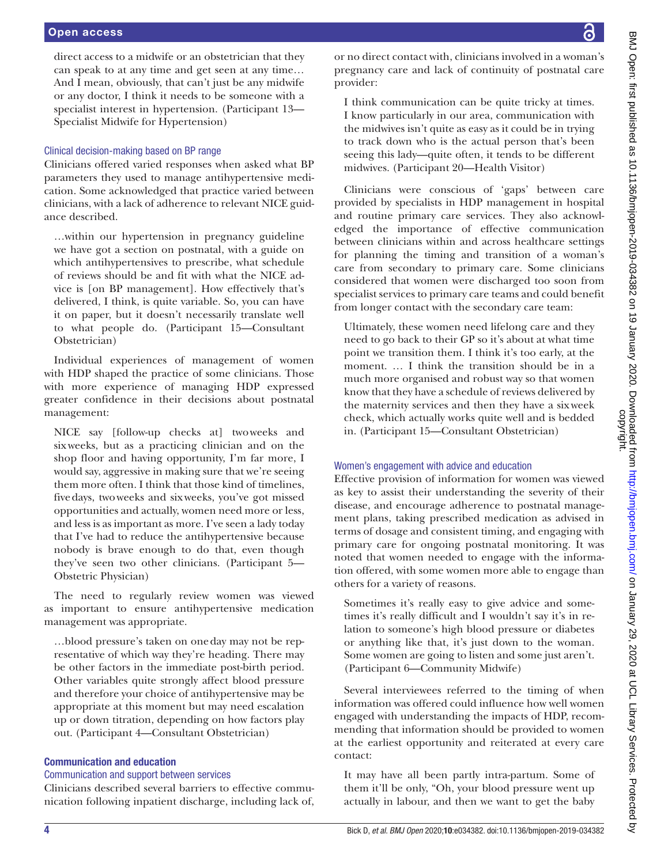direct access to a midwife or an obstetrician that they can speak to at any time and get seen at any time… And I mean, obviously, that can't just be any midwife or any doctor, I think it needs to be someone with a specialist interest in hypertension. (Participant 13— Specialist Midwife for Hypertension)

#### Clinical decision-making based on BP range

Clinicians offered varied responses when asked what BP parameters they used to manage antihypertensive medication. Some acknowledged that practice varied between clinicians, with a lack of adherence to relevant NICE guidance described.

…within our hypertension in pregnancy guideline we have got a section on postnatal, with a guide on which antihypertensives to prescribe, what schedule of reviews should be and fit with what the NICE advice is [on BP management]. How effectively that's delivered, I think, is quite variable. So, you can have it on paper, but it doesn't necessarily translate well to what people do. (Participant 15—Consultant Obstetrician)

Individual experiences of management of women with HDP shaped the practice of some clinicians. Those with more experience of managing HDP expressed greater confidence in their decisions about postnatal management:

NICE say [follow-up checks at] twoweeks and sixweeks, but as a practicing clinician and on the shop floor and having opportunity, I'm far more, I would say, aggressive in making sure that we're seeing them more often. I think that those kind of timelines, fivedays, twoweeks and sixweeks, you've got missed opportunities and actually, women need more or less, and less is as important as more. I've seen a lady today that I've had to reduce the antihypertensive because nobody is brave enough to do that, even though they've seen two other clinicians. (Participant 5— Obstetric Physician)

The need to regularly review women was viewed as important to ensure antihypertensive medication management was appropriate.

…blood pressure's taken on oneday may not be representative of which way they're heading. There may be other factors in the immediate post-birth period. Other variables quite strongly affect blood pressure and therefore your choice of antihypertensive may be appropriate at this moment but may need escalation up or down titration, depending on how factors play out. (Participant 4—Consultant Obstetrician)

#### Communication and education

#### Communication and support between services

Clinicians described several barriers to effective communication following inpatient discharge, including lack of, or no direct contact with, clinicians involved in a woman's pregnancy care and lack of continuity of postnatal care provider:

I think communication can be quite tricky at times. I know particularly in our area, communication with the midwives isn't quite as easy as it could be in trying to track down who is the actual person that's been seeing this lady—quite often, it tends to be different midwives. (Participant 20—Health Visitor)

Clinicians were conscious of 'gaps' between care provided by specialists in HDP management in hospital and routine primary care services. They also acknowledged the importance of effective communication between clinicians within and across healthcare settings for planning the timing and transition of a woman's care from secondary to primary care. Some clinicians considered that women were discharged too soon from specialist services to primary care teams and could benefit from longer contact with the secondary care team:

Ultimately, these women need lifelong care and they need to go back to their GP so it's about at what time point we transition them. I think it's too early, at the moment. … I think the transition should be in a much more organised and robust way so that women know that they have a schedule of reviews delivered by the maternity services and then they have a sixweek check, which actually works quite well and is bedded in. (Participant 15—Consultant Obstetrician)

#### Women's engagement with advice and education

Effective provision of information for women was viewed as key to assist their understanding the severity of their disease, and encourage adherence to postnatal management plans, taking prescribed medication as advised in terms of dosage and consistent timing, and engaging with primary care for ongoing postnatal monitoring. It was noted that women needed to engage with the information offered, with some women more able to engage than others for a variety of reasons.

Sometimes it's really easy to give advice and sometimes it's really difficult and I wouldn't say it's in relation to someone's high blood pressure or diabetes or anything like that, it's just down to the woman. Some women are going to listen and some just aren't. (Participant 6—Community Midwife)

Several interviewees referred to the timing of when information was offered could influence how well women engaged with understanding the impacts of HDP, recommending that information should be provided to women at the earliest opportunity and reiterated at every care contact:

It may have all been partly intra-partum. Some of them it'll be only, "Oh, your blood pressure went up actually in labour, and then we want to get the baby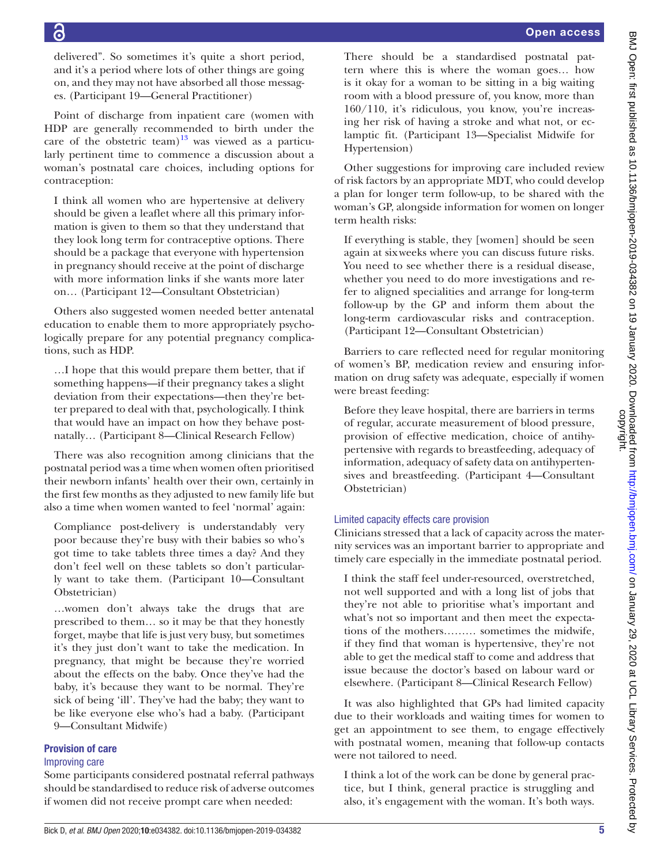delivered". So sometimes it's quite a short period, and it's a period where lots of other things are going on, and they may not have absorbed all those messages. (Participant 19—General Practitioner)

Point of discharge from inpatient care (women with HDP are generally recommended to birth under the care of the obstetric team)<sup>13</sup> was viewed as a particularly pertinent time to commence a discussion about a woman's postnatal care choices, including options for contraception:

I think all women who are hypertensive at delivery should be given a leaflet where all this primary information is given to them so that they understand that they look long term for contraceptive options. There should be a package that everyone with hypertension in pregnancy should receive at the point of discharge with more information links if she wants more later on… (Participant 12—Consultant Obstetrician)

Others also suggested women needed better antenatal education to enable them to more appropriately psychologically prepare for any potential pregnancy complications, such as HDP.

…I hope that this would prepare them better, that if something happens—if their pregnancy takes a slight deviation from their expectations—then they're better prepared to deal with that, psychologically. I think that would have an impact on how they behave postnatally… (Participant 8—Clinical Research Fellow)

There was also recognition among clinicians that the postnatal period was a time when women often prioritised their newborn infants' health over their own, certainly in the first few months as they adjusted to new family life but also a time when women wanted to feel 'normal' again:

Compliance post-delivery is understandably very poor because they're busy with their babies so who's got time to take tablets three times a day? And they don't feel well on these tablets so don't particularly want to take them. (Participant 10—Consultant Obstetrician)

…women don't always take the drugs that are prescribed to them… so it may be that they honestly forget, maybe that life is just very busy, but sometimes it's they just don't want to take the medication. In pregnancy, that might be because they're worried about the effects on the baby. Once they've had the baby, it's because they want to be normal. They're sick of being 'ill'. They've had the baby; they want to be like everyone else who's had a baby. (Participant 9—Consultant Midwife)

## Provision of care

#### Improving care

Some participants considered postnatal referral pathways should be standardised to reduce risk of adverse outcomes if women did not receive prompt care when needed:

There should be a standardised postnatal pattern where this is where the woman goes… how is it okay for a woman to be sitting in a big waiting room with a blood pressure of, you know, more than 160/110, it's ridiculous, you know, you're increasing her risk of having a stroke and what not, or eclamptic fit. (Participant 13—Specialist Midwife for Hypertension)

Other suggestions for improving care included review of risk factors by an appropriate MDT, who could develop a plan for longer term follow-up, to be shared with the woman's GP, alongside information for women on longer term health risks:

If everything is stable, they [women] should be seen again at sixweeks where you can discuss future risks. You need to see whether there is a residual disease, whether you need to do more investigations and refer to aligned specialities and arrange for long-term follow-up by the GP and inform them about the long-term cardiovascular risks and contraception. (Participant 12—Consultant Obstetrician)

Barriers to care reflected need for regular monitoring of women's BP, medication review and ensuring information on drug safety was adequate, especially if women were breast feeding:

Before they leave hospital, there are barriers in terms of regular, accurate measurement of blood pressure, provision of effective medication, choice of antihypertensive with regards to breastfeeding, adequacy of information, adequacy of safety data on antihypertensives and breastfeeding. (Participant 4—Consultant Obstetrician)

## Limited capacity effects care provision

Clinicians stressed that a lack of capacity across the maternity services was an important barrier to appropriate and timely care especially in the immediate postnatal period.

I think the staff feel under-resourced, overstretched, not well supported and with a long list of jobs that they're not able to prioritise what's important and what's not so important and then meet the expectations of the mothers……… sometimes the midwife, if they find that woman is hypertensive, they're not able to get the medical staff to come and address that issue because the doctor's based on labour ward or elsewhere. (Participant 8—Clinical Research Fellow)

It was also highlighted that GPs had limited capacity due to their workloads and waiting times for women to get an appointment to see them, to engage effectively with postnatal women, meaning that follow-up contacts were not tailored to need.

I think a lot of the work can be done by general practice, but I think, general practice is struggling and also, it's engagement with the woman. It's both ways.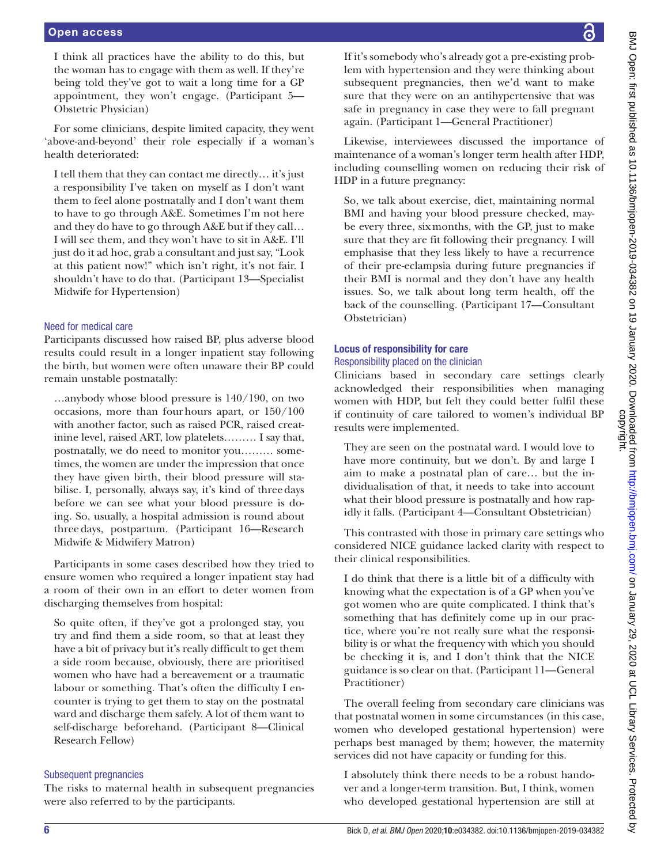I think all practices have the ability to do this, but the woman has to engage with them as well. If they're being told they've got to wait a long time for a GP appointment, they won't engage. (Participant 5— Obstetric Physician)

For some clinicians, despite limited capacity, they went 'above-and-beyond' their role especially if a woman's health deteriorated:

I tell them that they can contact me directly… it's just a responsibility I've taken on myself as I don't want them to feel alone postnatally and I don't want them to have to go through A&E. Sometimes I'm not here and they do have to go through A&E but if they call… I will see them, and they won't have to sit in A&E. I'll just do it ad hoc, grab a consultant and just say, "Look at this patient now!" which isn't right, it's not fair. I shouldn't have to do that. (Participant 13—Specialist Midwife for Hypertension)

#### Need for medical care

Participants discussed how raised BP, plus adverse blood results could result in a longer inpatient stay following the birth, but women were often unaware their BP could remain unstable postnatally:

…anybody whose blood pressure is 140/190, on two occasions, more than fourhours apart, or 150/100 with another factor, such as raised PCR, raised creatinine level, raised ART, low platelets……… I say that, postnatally, we do need to monitor you……… sometimes, the women are under the impression that once they have given birth, their blood pressure will stabilise. I, personally, always say, it's kind of threedays before we can see what your blood pressure is doing. So, usually, a hospital admission is round about threedays, postpartum. (Participant 16—Research Midwife & Midwifery Matron)

Participants in some cases described how they tried to ensure women who required a longer inpatient stay had a room of their own in an effort to deter women from discharging themselves from hospital:

So quite often, if they've got a prolonged stay, you try and find them a side room, so that at least they have a bit of privacy but it's really difficult to get them a side room because, obviously, there are prioritised women who have had a bereavement or a traumatic labour or something. That's often the difficulty I encounter is trying to get them to stay on the postnatal ward and discharge them safely. A lot of them want to self-discharge beforehand. (Participant 8—Clinical Research Fellow)

#### Subsequent pregnancies

The risks to maternal health in subsequent pregnancies were also referred to by the participants.

If it's somebody who's already got a pre-existing problem with hypertension and they were thinking about subsequent pregnancies, then we'd want to make sure that they were on an antihypertensive that was safe in pregnancy in case they were to fall pregnant again. (Participant 1—General Practitioner)

Likewise, interviewees discussed the importance of maintenance of a woman's longer term health after HDP, including counselling women on reducing their risk of HDP in a future pregnancy:

So, we talk about exercise, diet, maintaining normal BMI and having your blood pressure checked, maybe every three, sixmonths, with the GP, just to make sure that they are fit following their pregnancy. I will emphasise that they less likely to have a recurrence of their pre-eclampsia during future pregnancies if their BMI is normal and they don't have any health issues. So, we talk about long term health, off the back of the counselling. (Participant 17—Consultant Obstetrician)

#### Locus of responsibility for care

#### Responsibility placed on the clinician

Clinicians based in secondary care settings clearly acknowledged their responsibilities when managing women with HDP, but felt they could better fulfil these if continuity of care tailored to women's individual BP results were implemented.

They are seen on the postnatal ward. I would love to have more continuity, but we don't. By and large I aim to make a postnatal plan of care… but the individualisation of that, it needs to take into account what their blood pressure is postnatally and how rapidly it falls. (Participant 4—Consultant Obstetrician)

This contrasted with those in primary care settings who considered NICE guidance lacked clarity with respect to their clinical responsibilities.

I do think that there is a little bit of a difficulty with knowing what the expectation is of a GP when you've got women who are quite complicated. I think that's something that has definitely come up in our practice, where you're not really sure what the responsibility is or what the frequency with which you should be checking it is, and I don't think that the NICE guidance is so clear on that. (Participant 11—General Practitioner)

The overall feeling from secondary care clinicians was that postnatal women in some circumstances (in this case, women who developed gestational hypertension) were perhaps best managed by them; however, the maternity services did not have capacity or funding for this.

I absolutely think there needs to be a robust handover and a longer-term transition. But, I think, women who developed gestational hypertension are still at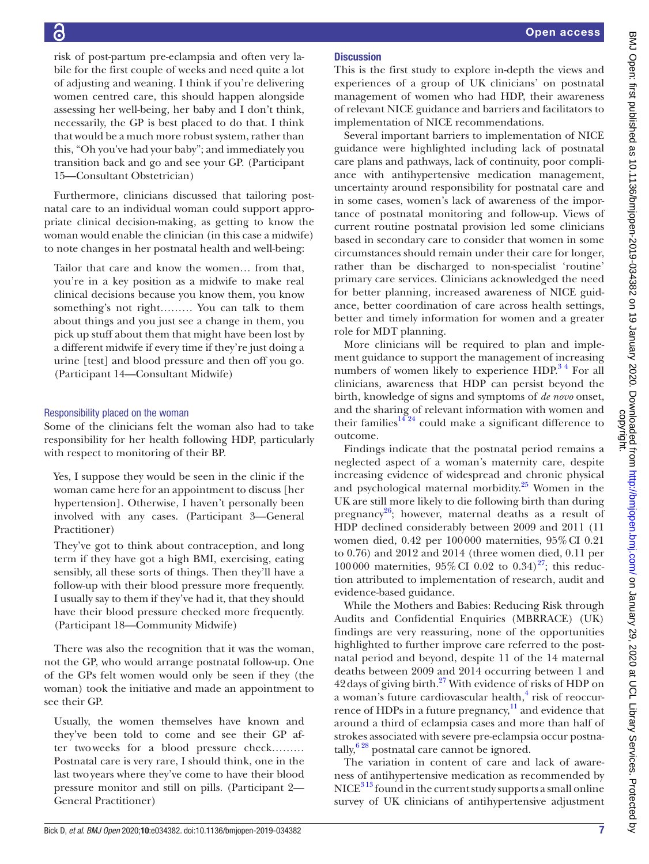risk of post-partum pre-eclampsia and often very labile for the first couple of weeks and need quite a lot of adjusting and weaning. I think if you're delivering women centred care, this should happen alongside assessing her well-being, her baby and I don't think, necessarily, the GP is best placed to do that. I think that would be a much more robust system, rather than this, "Oh you've had your baby"; and immediately you transition back and go and see your GP. (Participant 15—Consultant Obstetrician)

Furthermore, clinicians discussed that tailoring postnatal care to an individual woman could support appropriate clinical decision-making, as getting to know the woman would enable the clinician (in this case a midwife) to note changes in her postnatal health and well-being:

Tailor that care and know the women… from that, you're in a key position as a midwife to make real clinical decisions because you know them, you know something's not right……… You can talk to them about things and you just see a change in them, you pick up stuff about them that might have been lost by a different midwife if every time if they're just doing a urine [test] and blood pressure and then off you go. (Participant 14—Consultant Midwife)

## Responsibility placed on the woman

Some of the clinicians felt the woman also had to take responsibility for her health following HDP, particularly with respect to monitoring of their BP.

Yes, I suppose they would be seen in the clinic if the woman came here for an appointment to discuss [her hypertension]. Otherwise, I haven't personally been involved with any cases. (Participant 3—General Practitioner)

They've got to think about contraception, and long term if they have got a high BMI, exercising, eating sensibly, all these sorts of things. Then they'll have a follow-up with their blood pressure more frequently. I usually say to them if they've had it, that they should have their blood pressure checked more frequently. (Participant 18—Community Midwife)

There was also the recognition that it was the woman, not the GP, who would arrange postnatal follow-up. One of the GPs felt women would only be seen if they (the woman) took the initiative and made an appointment to see their GP.

Usually, the women themselves have known and they've been told to come and see their GP after twoweeks for a blood pressure check……… Postnatal care is very rare, I should think, one in the last twoyears where they've come to have their blood pressure monitor and still on pills. (Participant 2— General Practitioner)

## **Discussion**

This is the first study to explore in-depth the views and experiences of a group of UK clinicians' on postnatal management of women who had HDP, their awareness of relevant NICE guidance and barriers and facilitators to implementation of NICE recommendations.

Several important barriers to implementation of NICE guidance were highlighted including lack of postnatal care plans and pathways, lack of continuity, poor compliance with antihypertensive medication management, uncertainty around responsibility for postnatal care and in some cases, women's lack of awareness of the importance of postnatal monitoring and follow-up. Views of current routine postnatal provision led some clinicians based in secondary care to consider that women in some circumstances should remain under their care for longer, rather than be discharged to non-specialist 'routine' primary care services. Clinicians acknowledged the need for better planning, increased awareness of NICE guidance, better coordination of care across health settings, better and timely information for women and a greater role for MDT planning.

More clinicians will be required to plan and implement guidance to support the management of increasing numbers of women likely to experience  $HDP<sup>34</sup>$  For all clinicians, awareness that HDP can persist beyond the birth, knowledge of signs and symptoms of *de novo* onset, and the sharing of relevant information with women and their families<sup>1424</sup> could make a significant difference to outcome.

Findings indicate that the postnatal period remains a neglected aspect of a woman's maternity care, despite increasing evidence of widespread and chronic physical and psychological maternal morbidity. $25$  Women in the UK are still more likely to die following birth than during pregnancy<sup>26</sup>; however, maternal deaths as a result of HDP declined considerably between 2009 and 2011 (11 women died, 0.42 per 100000 maternities, 95%CI 0.21 to 0.76) and 2012 and 2014 (three women died, 0.11 per 100000 maternities, 95% CI 0.02 to 0.34)<sup>27</sup>; this reduction attributed to implementation of research, audit and evidence-based guidance.

While the Mothers and Babies: Reducing Risk through Audits and Confidential Enquiries (MBRRACE) (UK) findings are very reassuring, none of the opportunities highlighted to further improve care referred to the postnatal period and beyond, despite 11 of the 14 maternal deaths between 2009 and 2014 occurring between 1 and  $42$  days of giving birth.<sup>27</sup> With evidence of risks of HDP on a woman's future cardiovascular health,<sup>[4](#page-8-16)</sup> risk of reoccurrence of HDPs in a future pregnancy, $\frac{11}{1}$  $\frac{11}{1}$  $\frac{11}{1}$  and evidence that around a third of eclampsia cases and more than half of strokes associated with severe pre-eclampsia occur postnatally, $6\frac{28}{9}$  postnatal care cannot be ignored.

The variation in content of care and lack of awareness of antihypertensive medication as recommended by  $NICE<sup>313</sup>$  found in the current study supports a small online survey of UK clinicians of antihypertensive adjustment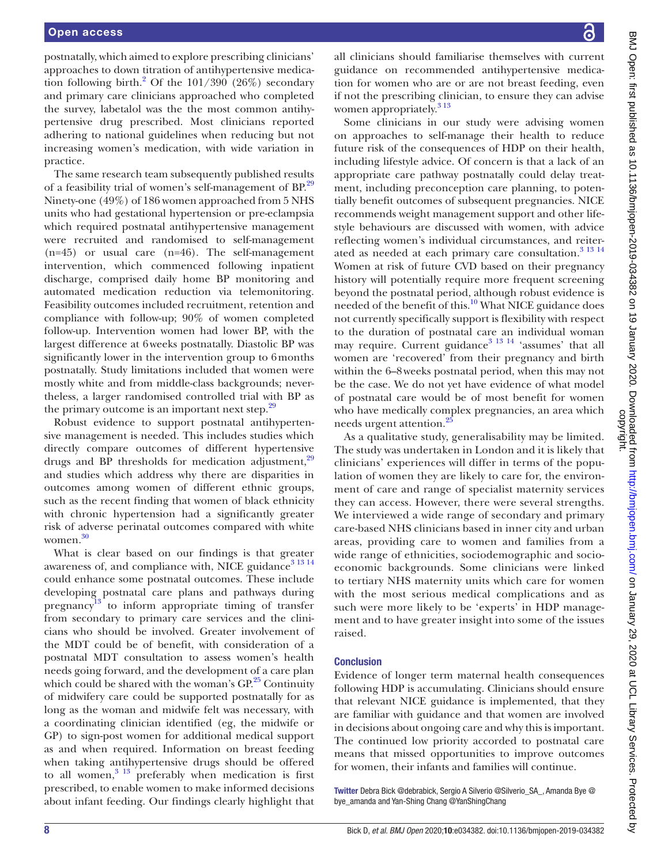postnatally, which aimed to explore prescribing clinicians' approaches to down titration of antihypertensive medica-tion following birth.<sup>[2](#page-8-1)</sup> Of the  $101/390$  (26%) secondary and primary care clinicians approached who completed the survey, labetalol was the the most common antihypertensive drug prescribed. Most clinicians reported adhering to national guidelines when reducing but not increasing women's medication, with wide variation in practice.

The same research team subsequently published results of a feasibility trial of women's self-management of BP.<sup>[29](#page-8-19)</sup> Ninety-one (49%) of 186 women approached from 5 NHS units who had gestational hypertension or pre-eclampsia which required postnatal antihypertensive management were recruited and randomised to self-management  $(n=45)$  or usual care  $(n=46)$ . The self-management intervention, which commenced following inpatient discharge, comprised daily home BP monitoring and automated medication reduction via telemonitoring. Feasibility outcomes included recruitment, retention and compliance with follow-up; 90% of women completed follow-up. Intervention women had lower BP, with the largest difference at 6weeks postnatally. Diastolic BP was significantly lower in the intervention group to 6months postnatally. Study limitations included that women were mostly white and from middle-class backgrounds; nevertheless, a larger randomised controlled trial with BP as the primary outcome is an important next step.<sup>29</sup>

Robust evidence to support postnatal antihypertensive management is needed. This includes studies which directly compare outcomes of different hypertensive drugs and BP thresholds for medication adjustment, $29$ and studies which address why there are disparities in outcomes among women of different ethnic groups, such as the recent finding that women of black ethnicity with chronic hypertension had a significantly greater risk of adverse perinatal outcomes compared with white women. [30](#page-8-20)

What is clear based on our findings is that greater awareness of, and compliance with, NICE guidance $3^{13}$ <sup>14</sup> could enhance some postnatal outcomes. These include developing postnatal care plans and pathways during pregnancy<sup>13</sup> to inform appropriate timing of transfer from secondary to primary care services and the clinicians who should be involved. Greater involvement of the MDT could be of benefit, with consideration of a postnatal MDT consultation to assess women's health needs going forward, and the development of a care plan which could be shared with the woman's  $\text{GP}^{25}$  Continuity of midwifery care could be supported postnatally for as long as the woman and midwife felt was necessary, with a coordinating clinician identified (eg, the midwife or GP) to sign-post women for additional medical support as and when required. Information on breast feeding when taking antihypertensive drugs should be offered to all women, $3^{13}$  preferably when medication is first prescribed, to enable women to make informed decisions about infant feeding. Our findings clearly highlight that

all clinicians should familiarise themselves with current guidance on recommended antihypertensive medication for women who are or are not breast feeding, even if not the prescribing clinician, to ensure they can advise women appropriately.<sup>313</sup>

Some clinicians in our study were advising women on approaches to self-manage their health to reduce future risk of the consequences of HDP on their health, including lifestyle advice. Of concern is that a lack of an appropriate care pathway postnatally could delay treatment, including preconception care planning, to potentially benefit outcomes of subsequent pregnancies. NICE recommends weight management support and other lifestyle behaviours are discussed with women, with advice reflecting women's individual circumstances, and reiterated as needed at each primary care consultation.<sup>3</sup><sup>13</sup><sup>14</sup> Women at risk of future CVD based on their pregnancy history will potentially require more frequent screening beyond the postnatal period, although robust evidence is needed of the benefit of this.<sup>10</sup> What NICE guidance does not currently specifically support is flexibility with respect to the duration of postnatal care an individual woman may require. Current guidance<sup>3</sup> <sup>13</sup> <sup>14</sup> 'assumes' that all women are 'recovered' from their pregnancy and birth within the 6–8weeks postnatal period, when this may not be the case. We do not yet have evidence of what model of postnatal care would be of most benefit for women who have medically complex pregnancies, an area which needs urgent attention.<sup>2</sup>

As a qualitative study, generalisability may be limited. The study was undertaken in London and it is likely that clinicians' experiences will differ in terms of the population of women they are likely to care for, the environment of care and range of specialist maternity services they can access. However, there were several strengths. We interviewed a wide range of secondary and primary care-based NHS clinicians based in inner city and urban areas, providing care to women and families from a wide range of ethnicities, sociodemographic and socioeconomic backgrounds. Some clinicians were linked to tertiary NHS maternity units which care for women with the most serious medical complications and as such were more likely to be 'experts' in HDP management and to have greater insight into some of the issues raised.

#### **Conclusion**

Evidence of longer term maternal health consequences following HDP is accumulating. Clinicians should ensure that relevant NICE guidance is implemented, that they are familiar with guidance and that women are involved in decisions about ongoing care and why this is important. The continued low priority accorded to postnatal care means that missed opportunities to improve outcomes for women, their infants and families will continue.

Twitter Debra Bick [@debrabick](https://twitter.com/debrabick), Sergio A Silverio [@Silverio\\_SA\\_,](https://twitter.com/Silverio_SA_) Amanda Bye [@](https://twitter.com/bye_amanda) [bye\\_amanda](https://twitter.com/bye_amanda) and Yan-Shing Chang [@YanShingChang](https://twitter.com/YanShingChang)